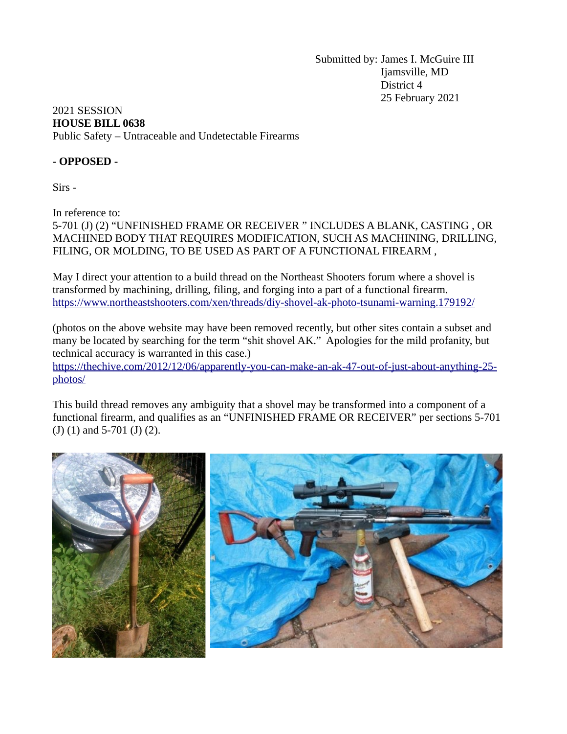Submitted by: James I. McGuire III Ijamsville, MD District 4 25 February 2021

## 2021 SESSION **HOUSE BILL 0638** Public Safety – Untraceable and Undetectable Firearms

## **- OPPOSED -**

Sirs -

In reference to:

5-701 (J) (2) "UNFINISHED FRAME OR RECEIVER " INCLUDES A BLANK, CASTING , OR MACHINED BODY THAT REQUIRES MODIFICATION, SUCH AS MACHINING, DRILLING, FILING, OR MOLDING, TO BE USED AS PART OF A FUNCTIONAL FIREARM ,

May I direct your attention to a build thread on the Northeast Shooters forum where a shovel is transformed by machining, drilling, filing, and forging into a part of a functional firearm. <https://www.northeastshooters.com/xen/threads/diy-shovel-ak-photo-tsunami-warning.179192/>

(photos on the above website may have been removed recently, but other sites contain a subset and many be located by searching for the term "shit shovel AK." Apologies for the mild profanity, but technical accuracy is warranted in this case.)

[https://thechive.com/2012/12/06/apparently-you-can-make-an-ak-47-out-of-just-about-anything-25](https://thechive.com/2012/12/06/apparently-you-can-make-an-ak-47-out-of-just-about-anything-25-photos/) [photos/](https://thechive.com/2012/12/06/apparently-you-can-make-an-ak-47-out-of-just-about-anything-25-photos/)

This build thread removes any ambiguity that a shovel may be transformed into a component of a functional firearm, and qualifies as an "UNFINISHED FRAME OR RECEIVER" per sections 5-701 (J) (1) and 5-701 (J) (2).